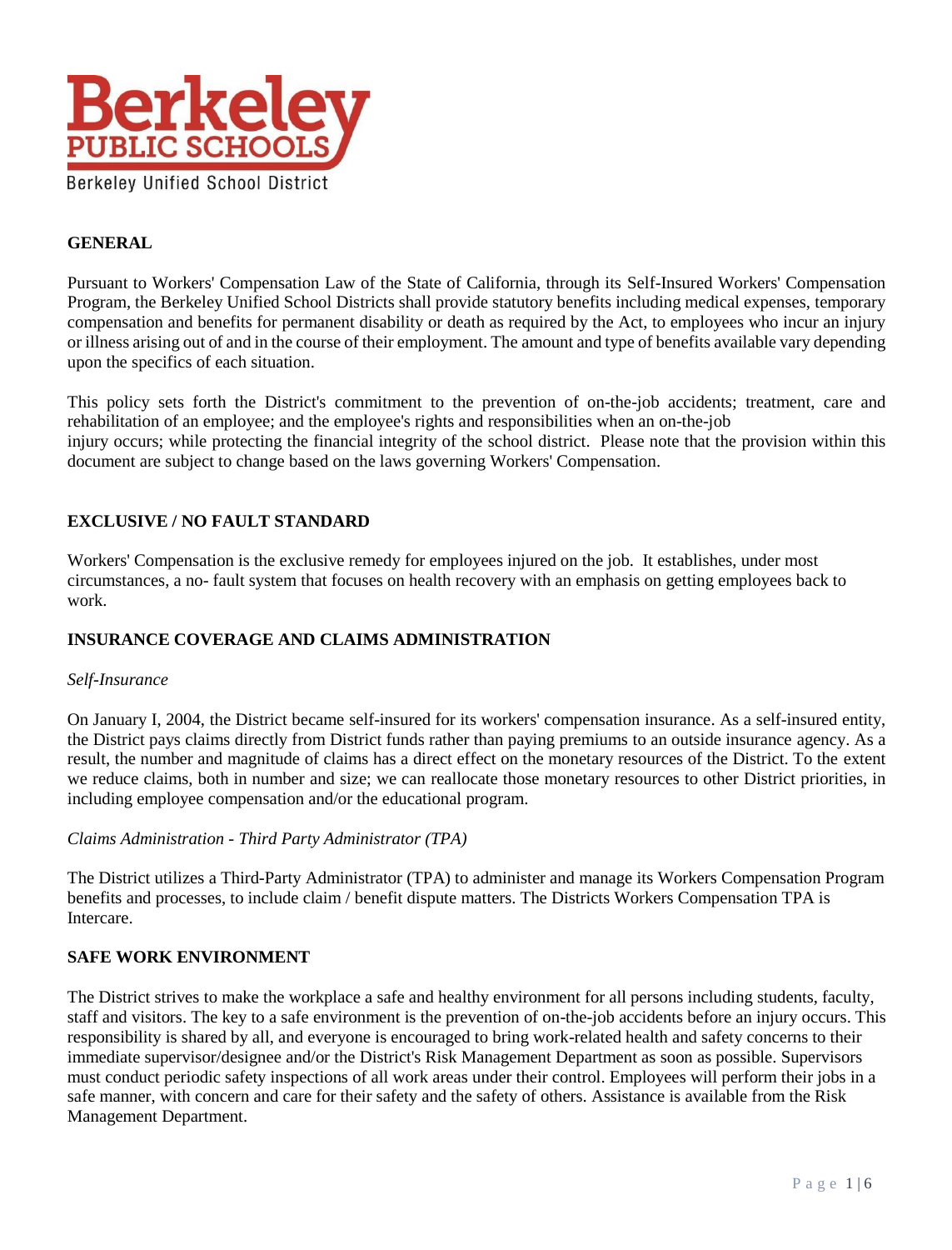

## **GENERAL**

Pursuant to Workers' Compensation Law of the State of California, through its Self-Insured Workers' Compensation Program, the Berkeley Unified School Districts shall provide statutory benefits including medical expenses, temporary compensation and benefits for permanent disability or death as required by the Act, to employees who incur an injury or illness arising out of and in the course of their employment. The amount and type of benefits available vary depending upon the specifics of each situation.

This policy sets forth the District's commitment to the prevention of on-the-job accidents; treatment, care and rehabilitation of an employee; and the employee's rights and responsibilities when an on-the-job injury occurs; while protecting the financial integrity of the school district. Please note that the provision within this document are subject to change based on the laws governing Workers' Compensation.

## **EXCLUSIVE / NO FAULT STANDARD**

Workers' Compensation is the exclusive remedy for employees injured on the job. It establishes, under most circumstances, a no- fault system that focuses on health recovery with an emphasis on getting employees back to work.

## **INSURANCE COVERAGE AND CLAIMS ADMINISTRATION**

## *Self-Insurance*

On January I, 2004, the District became self-insured for its workers' compensation insurance. As a self-insured entity, the District pays claims directly from District funds rather than paying premiums to an outside insurance agency. As a result, the number and magnitude of claims has a direct effect on the monetary resources of the District. To the extent we reduce claims, both in number and size; we can reallocate those monetary resources to other District priorities, in including employee compensation and/or the educational program.

## *Claims Administration - Third Party Administrator (TPA)*

The District utilizes a Third-Party Administrator (TPA) to administer and manage its Workers Compensation Program benefits and processes, to include claim / benefit dispute matters. The Districts Workers Compensation TPA is Intercare.

## **SAFE WORK ENVIRONMENT**

The District strives to make the workplace a safe and healthy environment for all persons including students, faculty, staff and visitors. The key to a safe environment is the prevention of on-the-job accidents before an injury occurs. This responsibility is shared by all, and everyone is encouraged to bring work-related health and safety concerns to their immediate supervisor/designee and/or the District's Risk Management Department as soon as possible. Supervisors must conduct periodic safety inspections of all work areas under their control. Employees will perform their jobs in a safe manner, with concern and care for their safety and the safety of others. Assistance is available from the Risk Management Department.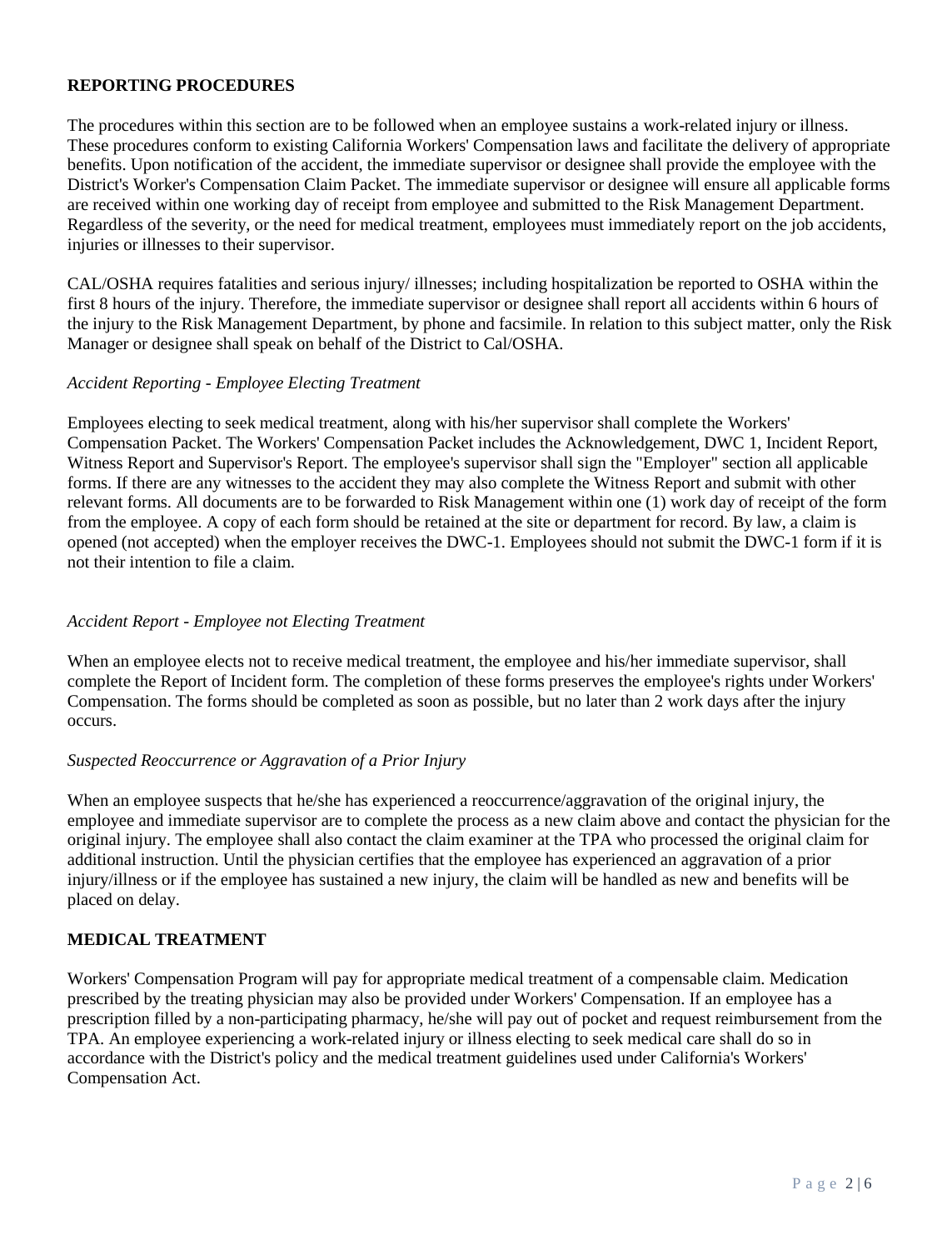## **REPORTING PROCEDURES**

The procedures within this section are to be followed when an employee sustains a work-related injury or illness. These procedures conform to existing California Workers' Compensation laws and facilitate the delivery of appropriate benefits. Upon notification of the accident, the immediate supervisor or designee shall provide the employee with the District's Worker's Compensation Claim Packet. The immediate supervisor or designee will ensure all applicable forms are received within one working day of receipt from employee and submitted to the Risk Management Department. Regardless of the severity, or the need for medical treatment, employees must immediately report on the job accidents, injuries or illnesses to their supervisor.

CAL/OSHA requires fatalities and serious injury/ illnesses; including hospitalization be reported to OSHA within the first 8 hours of the injury. Therefore, the immediate supervisor or designee shall report all accidents within 6 hours of the injury to the Risk Management Department, by phone and facsimile. In relation to this subject matter, only the Risk Manager or designee shall speak on behalf of the District to Cal/OSHA.

## *Accident Reporting - Employee Electing Treatment*

Employees electing to seek medical treatment, along with his/her supervisor shall complete the Workers' Compensation Packet. The Workers' Compensation Packet includes the Acknowledgement, DWC 1, Incident Report, Witness Report and Supervisor's Report. The employee's supervisor shall sign the "Employer" section all applicable forms. If there are any witnesses to the accident they may also complete the Witness Report and submit with other relevant forms. All documents are to be forwarded to Risk Management within one (1) work day of receipt of the form from the employee. A copy of each form should be retained at the site or department for record. By law, a claim is opened (not accepted) when the employer receives the DWC-1. Employees should not submit the DWC-1 form if it is not their intention to file a claim.

## *Accident Report - Employee not Electing Treatment*

When an employee elects not to receive medical treatment, the employee and his/her immediate supervisor, shall complete the Report of Incident form. The completion of these forms preserves the employee's rights under Workers' Compensation. The forms should be completed as soon as possible, but no later than 2 work days after the injury occurs.

## *Suspected Reoccurrence or Aggravation of a Prior Injury*

When an employee suspects that he/she has experienced a reoccurrence/aggravation of the original injury, the employee and immediate supervisor are to complete the process as a new claim above and contact the physician for the original injury. The employee shall also contact the claim examiner at the TPA who processed the original claim for additional instruction. Until the physician certifies that the employee has experienced an aggravation of a prior injury/illness or if the employee has sustained a new injury, the claim will be handled as new and benefits will be placed on delay.

## **MEDICAL TREATMENT**

Workers' Compensation Program will pay for appropriate medical treatment of a compensable claim. Medication prescribed by the treating physician may also be provided under Workers' Compensation. If an employee has a prescription filled by a non-participating pharmacy, he/she will pay out of pocket and request reimbursement from the TPA. An employee experiencing a work-related injury or illness electing to seek medical care shall do so in accordance with the District's policy and the medical treatment guidelines used under California's Workers' Compensation Act.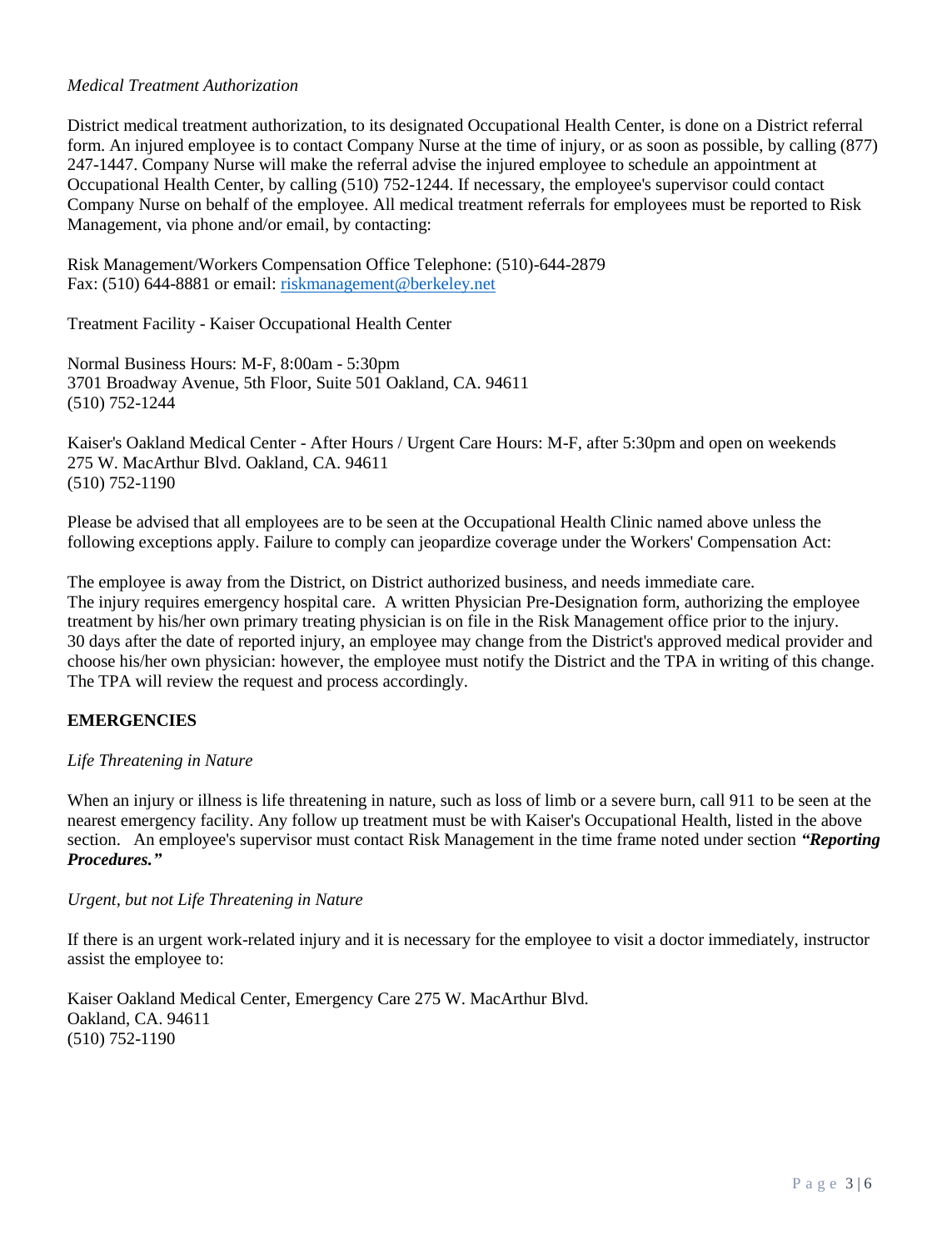## *Medical Treatment Authorization*

District medical treatment authorization, to its designated Occupational Health Center, is done on a District referral form. An injured employee is to contact Company Nurse at the time of injury, or as soon as possible, by calling (877) 247-1447. Company Nurse will make the referral advise the injured employee to schedule an appointment at Occupational Health Center, by calling (510) 752-1244. If necessary, the employee's supervisor could contact Company Nurse on behalf of the employee. All medical treatment referrals for employees must be reported to Risk Management, via phone and/or email, by contacting:

Risk Management/Workers Compensation Office Telephone: (510)-644-2879 Fax: (510) 644-8881 or email: [riskmanagement@berkeley.net](mailto:riskmanagement@berkeley.net)

Treatment Facility - Kaiser Occupational Health Center

Normal Business Hours: M-F, 8:00am - 5:30pm 3701 Broadway Avenue, 5th Floor, Suite 501 Oakland, CA. 94611 (510) 752-1244

Kaiser's Oakland Medical Center - After Hours / Urgent Care Hours: M-F, after 5:30pm and open on weekends 275 W. MacArthur Blvd. Oakland, CA. 94611 (510) 752-1190

Please be advised that all employees are to be seen at the Occupational Health Clinic named above unless the following exceptions apply. Failure to comply can jeopardize coverage under the Workers' Compensation Act:

The employee is away from the District, on District authorized business, and needs immediate care. The injury requires emergency hospital care. A written Physician Pre-Designation form, authorizing the employee treatment by his/her own primary treating physician is on file in the Risk Management office prior to the injury. 30 days after the date of reported injury, an employee may change from the District's approved medical provider and choose his/her own physician: however, the employee must notify the District and the TPA in writing of this change. The TPA will review the request and process accordingly.

# **EMERGENCIES**

## *Life Threatening in Nature*

When an injury or illness is life threatening in nature, such as loss of limb or a severe burn, call 911 to be seen at the nearest emergency facility. Any follow up treatment must be with Kaiser's Occupational Health, listed in the above section. An employee's supervisor must contact Risk Management in the time frame noted under section *"Reporting Procedures."*

## *Urgent, but not Life Threatening in Nature*

If there is an urgent work-related injury and it is necessary for the employee to visit a doctor immediately, instructor assist the employee to:

Kaiser Oakland Medical Center, Emergency Care 275 W. MacArthur Blvd. Oakland, CA. 94611 (510) 752-1190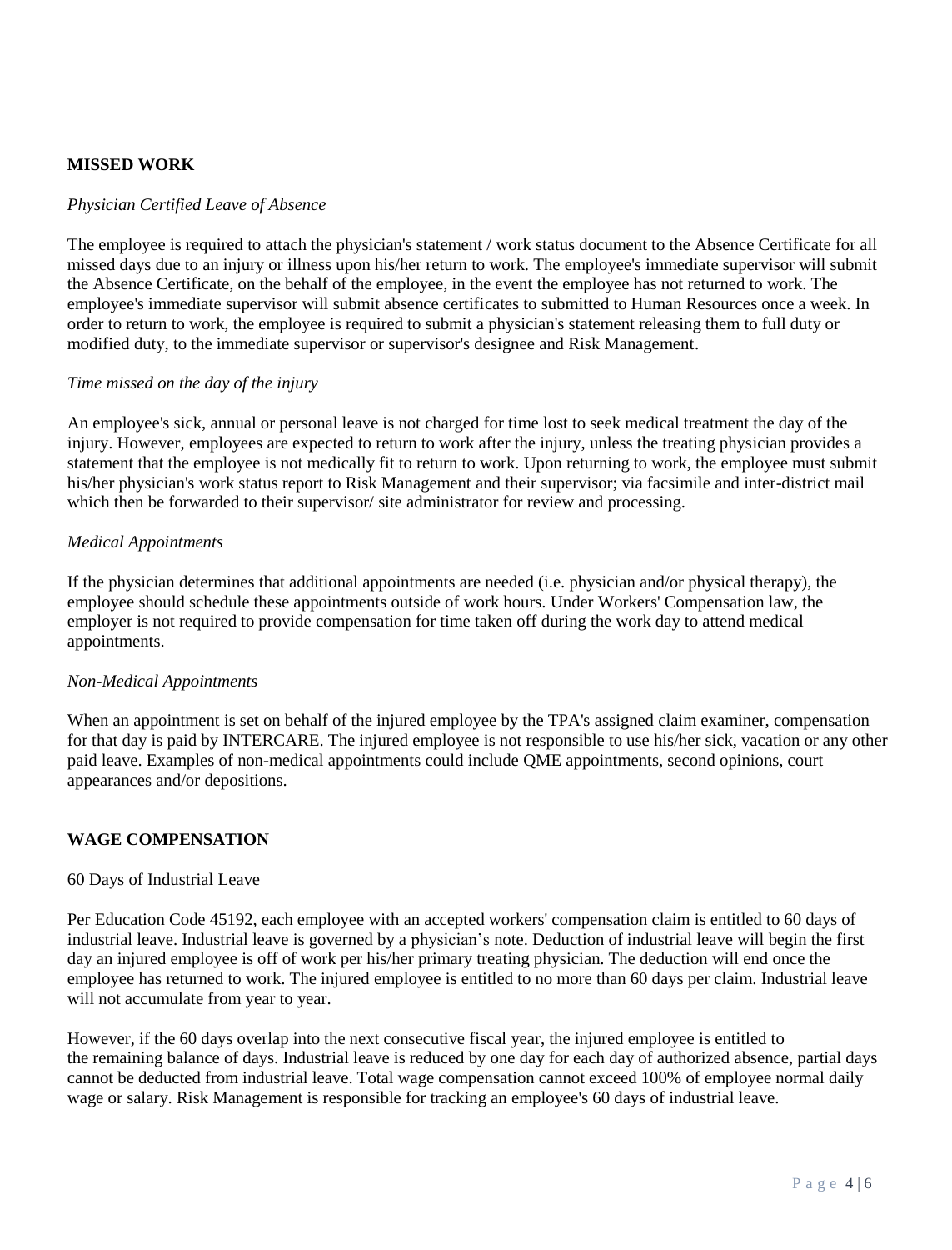## **MISSED WORK**

#### *Physician Certified Leave of Absence*

The employee is required to attach the physician's statement / work status document to the Absence Certificate for all missed days due to an injury or illness upon his/her return to work. The employee's immediate supervisor will submit the Absence Certificate, on the behalf of the employee, in the event the employee has not returned to work. The employee's immediate supervisor will submit absence certificates to submitted to Human Resources once a week. In order to return to work, the employee is required to submit a physician's statement releasing them to full duty or modified duty, to the immediate supervisor or supervisor's designee and Risk Management.

#### *Time missed on the day of the injury*

An employee's sick, annual or personal leave is not charged for time lost to seek medical treatment the day of the injury. However, employees are expected to return to work after the injury, unless the treating physician provides a statement that the employee is not medically fit to return to work. Upon returning to work, the employee must submit his/her physician's work status report to Risk Management and their supervisor; via facsimile and inter-district mail which then be forwarded to their supervisor/ site administrator for review and processing.

## *Medical Appointments*

If the physician determines that additional appointments are needed (i.e. physician and/or physical therapy), the employee should schedule these appointments outside of work hours. Under Workers' Compensation law, the employer is not required to provide compensation for time taken off during the work day to attend medical appointments.

#### *Non-Medical Appointments*

When an appointment is set on behalf of the injured employee by the TPA's assigned claim examiner, compensation for that day is paid by INTERCARE. The injured employee is not responsible to use his/her sick, vacation or any other paid leave. Examples of non-medical appointments could include QME appointments, second opinions, court appearances and/or depositions.

## **WAGE COMPENSATION**

#### 60 Days of Industrial Leave

Per Education Code 45192, each employee with an accepted workers' compensation claim is entitled to 60 days of industrial leave. Industrial leave is governed by a physician's note. Deduction of industrial leave will begin the first day an injured employee is off of work per his/her primary treating physician. The deduction will end once the employee has returned to work. The injured employee is entitled to no more than 60 days per claim. Industrial leave will not accumulate from year to year.

However, if the 60 days overlap into the next consecutive fiscal year, the injured employee is entitled to the remaining balance of days. Industrial leave is reduced by one day for each day of authorized absence, partial days cannot be deducted from industrial leave. Total wage compensation cannot exceed 100% of employee normal daily wage or salary. Risk Management is responsible for tracking an employee's 60 days of industrial leave.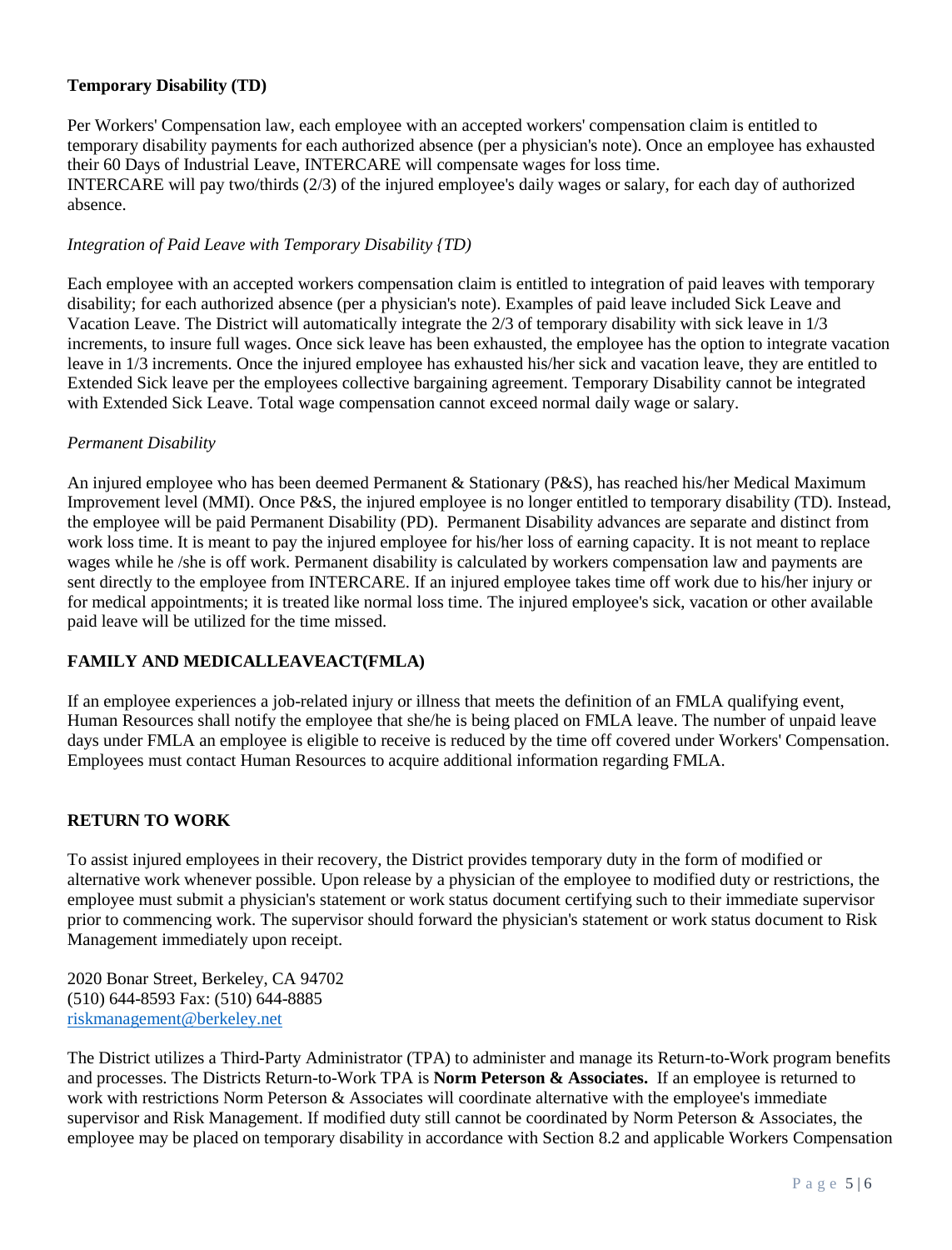## **Temporary Disability (TD)**

Per Workers' Compensation law, each employee with an accepted workers' compensation claim is entitled to temporary disability payments for each authorized absence (per a physician's note). Once an employee has exhausted their 60 Days of Industrial Leave, INTERCARE will compensate wages for loss time. INTERCARE will pay two/thirds (2/3) of the injured employee's daily wages or salary, for each day of authorized absence.

#### *Integration of Paid Leave with Temporary Disability {TD)*

Each employee with an accepted workers compensation claim is entitled to integration of paid leaves with temporary disability; for each authorized absence (per a physician's note). Examples of paid leave included Sick Leave and Vacation Leave. The District will automatically integrate the 2/3 of temporary disability with sick leave in 1/3 increments, to insure full wages. Once sick leave has been exhausted, the employee has the option to integrate vacation leave in 1/3 increments. Once the injured employee has exhausted his/her sick and vacation leave, they are entitled to Extended Sick leave per the employees collective bargaining agreement. Temporary Disability cannot be integrated with Extended Sick Leave. Total wage compensation cannot exceed normal daily wage or salary.

#### *Permanent Disability*

An injured employee who has been deemed Permanent & Stationary (P&S), has reached his/her Medical Maximum Improvement level (MMI). Once P&S, the injured employee is no longer entitled to temporary disability (TD). Instead, the employee will be paid Permanent Disability (PD). Permanent Disability advances are separate and distinct from work loss time. It is meant to pay the injured employee for his/her loss of earning capacity. It is not meant to replace wages while he /she is off work. Permanent disability is calculated by workers compensation law and payments are sent directly to the employee from INTERCARE. If an injured employee takes time off work due to his/her injury or for medical appointments; it is treated like normal loss time. The injured employee's sick, vacation or other available paid leave will be utilized for the time missed.

## **FAMILY AND MEDICALLEAVEACT(FMLA)**

If an employee experiences a job-related injury or illness that meets the definition of an FMLA qualifying event, Human Resources shall notify the employee that she/he is being placed on FMLA leave. The number of unpaid leave days under FMLA an employee is eligible to receive is reduced by the time off covered under Workers' Compensation. Employees must contact Human Resources to acquire additional information regarding FMLA.

## **RETURN TO WORK**

To assist injured employees in their recovery, the District provides temporary duty in the form of modified or alternative work whenever possible. Upon release by a physician of the employee to modified duty or restrictions, the employee must submit a physician's statement or work status document certifying such to their immediate supervisor prior to commencing work. The supervisor should forward the physician's statement or work status document to Risk Management immediately upon receipt.

2020 Bonar Street, Berkeley, CA 94702 (510) 644-8593 Fax: (510) 644-8885 [riskmanagement@berkeley.net](mailto:riskmanagement@berkeley.net)

The District utilizes a Third-Party Administrator (TPA) to administer and manage its Return-to-Work program benefits and processes. The Districts Return-to-Work TPA is **Norm Peterson & Associates.** If an employee is returned to work with restrictions Norm Peterson & Associates will coordinate alternative with the employee's immediate supervisor and Risk Management. If modified duty still cannot be coordinated by Norm Peterson & Associates, the employee may be placed on temporary disability in accordance with Section 8.2 and applicable Workers Compensation